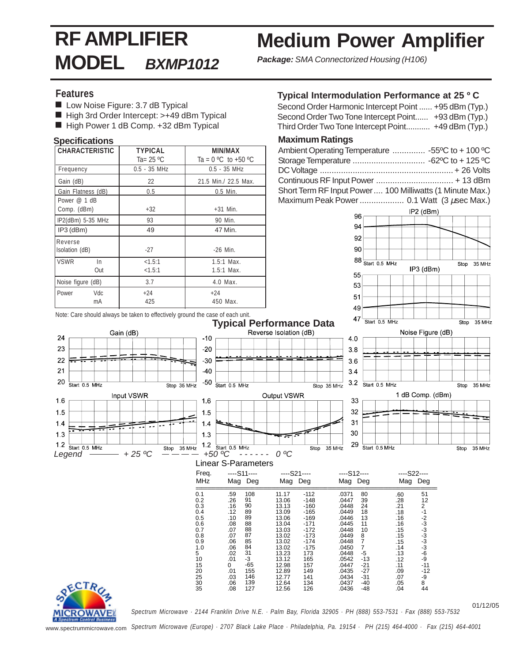# **RF AMPLIFIER MODEL BXMP1012**

## **Medium Power Amplifier**

**Package:** SMA Connectorized Housing (H106)

### **Features**

- Low Noise Figure: 3.7 dB Typical
- High 3rd Order Intercept: >+49 dBm Typical
- High Power 1 dB Comp. +32 dBm Typical

#### **Specifications**

| I CHARACTERISTIC   |     | <b>TYPICAL</b> | MIN/MAX                 |
|--------------------|-----|----------------|-------------------------|
|                    |     | Ta= $25 °C$    | Ta = $0 °C$ to +50 $°C$ |
| Frequency          |     | $0.5 - 35$ MHz | $0.5 - 35$ MHz          |
| Gain (dB)          |     | 22             | 21.5 Min./ 22.5 Max.    |
| Gain Flatness (dB) |     | 0.5            | $0.5$ Min.              |
| Power @ 1 dB       |     |                |                         |
| Comp. (dBm)        |     | $+32$          | $+31$ Min.              |
| IP2(dBm) 5-35 MHz  |     | 93             | 90 Min.                 |
| $ $ IP3 (dBm)      |     | 49             | 47 Min.                 |
| Reverse            |     |                |                         |
| Isolation (dB)     |     | $-27$          | $-26$ Min.              |
| <b>IVSWR</b>       | In  | < 1.5:1        | $1.5:1$ Max.            |
|                    | Out | < 1.5:1        | $1.5:1$ Max.            |
| Noise figure (dB)  |     | 3.7            | 4.0 Max.                |
| Power              | Vdc | $+24$          | $+24$                   |
|                    | mA  | 425            | 450 Max.                |

#### **Typical Intermodulation Performance at 25 º C**

| Second Order Harmonic Intercept Point  +95 dBm (Typ.) |  |
|-------------------------------------------------------|--|
| Second Order Two Tone Intercept Point +93 dBm (Typ.)  |  |
| Third Order Two Tone Intercept Point +49 dBm (Typ.)   |  |

#### **Maximum Ratings**

| Ambient Operating Temperature  -55°C to + 100 °C          |  |
|-----------------------------------------------------------|--|
|                                                           |  |
|                                                           |  |
|                                                           |  |
| Short Term RF Input Power  100 Milliwatts (1 Minute Max.) |  |
|                                                           |  |



Note: Care should always be taken to effectively ground the case of each unit.



#### ====================================================================================== 0.1 0.2 0.3 0.4 0.5 0.6 0.7 .59 26.<br>16.<br>12.<br>10.08.<br>07.06.<br>06.<br>00.<br>01.<br>01. 11.17 13.06 13.13 13.09 13.06 13.04 -112 -148 -160 -165 -169 -171 .0371 .0447 .0448 .0449 .0446 .0445 MHz Freq. Mag Deg Mag Deg Mag Deg Mag Deg ----S11---- ----S21---- ----S12---- ----S22---- 108 **Q1**  $\frac{90}{90}$ 89 89 88 88 87 85 84

13.03 13.02 13.02 13.02 13.23 13.12 12.98 12.89 12.77 12.64 12.56

0.8 0.9 1.0

.03 .06 .08



01/12/05 *Spectrum Microwave · 2144 Franklin Drive N.E. · Palm Bay, Florida 32905 · PH (888) 553-7531 · Fax (888) 553-7532*

.0448 .0449 .0448 .0450 .0448 .0542 .0447 .0435 .0434 .0437 .0436

.60 .28 .21 .18

51 12

2 -1 -2 -3 -3 -3 -3 -3 -6 -9 -11

-12 -9 8 44

.16 .16 .15 .15 .15 .14 .13

.12 .11 .09 .07  $.05$ .04

8 7 7 -5 -13 -21 -27

-31 -40  $-48$ 

www.spectrummicrowave.com *Spectrum Microwave (Europe) · 2707 Black Lake Place · Philadelphia, Pa. 19154 · PH (215) 464-4000 · Fax (215) 464-4001*